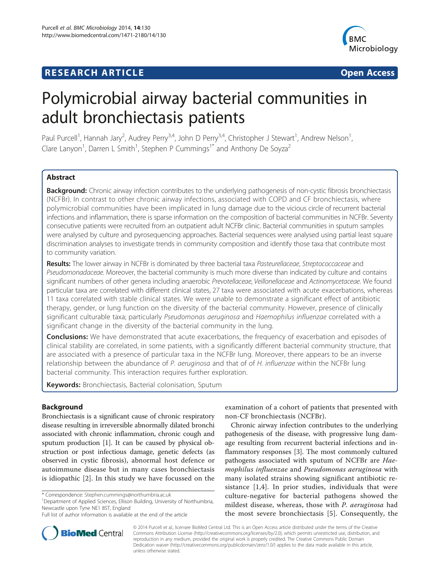# **RESEARCH ARTICLE Example 2014 CONSIDERING A RESEARCH ARTICLE**



# Polymicrobial airway bacterial communities in adult bronchiectasis patients

Paul Purcell<sup>1</sup>, Hannah Jary<sup>2</sup>, Audrey Perry<sup>3,4</sup>, John D Perry<sup>3,4</sup>, Christopher J Stewart<sup>1</sup>, Andrew Nelson<sup>1</sup> , Clare Lanyon<sup>1</sup>, Darren L Smith<sup>1</sup>, Stephen P Cummings<sup>1\*</sup> and Anthony De Soyza<sup>2</sup>

# **Abstract**

Background: Chronic airway infection contributes to the underlying pathogenesis of non-cystic fibrosis bronchiectasis (NCFBr). In contrast to other chronic airway infections, associated with COPD and CF bronchiectasis, where polymicrobial communities have been implicated in lung damage due to the vicious circle of recurrent bacterial infections and inflammation, there is sparse information on the composition of bacterial communities in NCFBr. Seventy consecutive patients were recruited from an outpatient adult NCFBr clinic. Bacterial communities in sputum samples were analysed by culture and pyrosequencing approaches. Bacterial sequences were analysed using partial least square discrimination analyses to investigate trends in community composition and identify those taxa that contribute most to community variation.

Results: The lower airway in NCFBr is dominated by three bacterial taxa Pasteurellaceae, Streptococcaceae and Pseudomonadaceae. Moreover, the bacterial community is much more diverse than indicated by culture and contains significant numbers of other genera including anaerobic Prevotellaceae, Veillonellaceae and Actinomycetaceae. We found particular taxa are correlated with different clinical states, 27 taxa were associated with acute exacerbations, whereas 11 taxa correlated with stable clinical states. We were unable to demonstrate a significant effect of antibiotic therapy, gender, or lung function on the diversity of the bacterial community. However, presence of clinically significant culturable taxa; particularly Pseudomonas aeruginosa and Haemophilus influenzae correlated with a significant change in the diversity of the bacterial community in the lung.

**Conclusions:** We have demonstrated that acute exacerbations, the frequency of exacerbation and episodes of clinical stability are correlated, in some patients, with a significantly different bacterial community structure, that are associated with a presence of particular taxa in the NCFBr lung. Moreover, there appears to be an inverse relationship between the abundance of P. aeruginosa and that of of H. influenzae within the NCFBr lung bacterial community. This interaction requires further exploration.

Keywords: Bronchiectasis, Bacterial colonisation, Sputum

# Background

Bronchiectasis is a significant cause of chronic respiratory disease resulting in irreversible abnormally dilated bronchi associated with chronic inflammation, chronic cough and sputum production [\[1](#page-9-0)]. It can be caused by physical obstruction or post infectious damage, genetic defects (as observed in cystic fibrosis), abnormal host defence or autoimmune disease but in many cases bronchiectasis is idiopathic [\[2](#page-9-0)]. In this study we have focussed on the

<sup>1</sup>Department of Applied Sciences, Ellison Building, University of Northumbria, Newcastle upon Tyne NE1 8ST, England

examination of a cohort of patients that presented with non-CF bronchiectasis (NCFBr).

Chronic airway infection contributes to the underlying pathogenesis of the disease, with progressive lung damage resulting from recurrent bacterial infections and inflammatory responses [\[3\]](#page-9-0). The most commonly cultured pathogens associated with sputum of NCFBr are Haemophilus influenzae and Pseudomonas aeruginosa with many isolated strains showing significant antibiotic resistance [\[1](#page-9-0),[4\]](#page-9-0). In prior studies, individuals that were culture-negative for bacterial pathogens showed the mildest disease, whereas, those with P. aeruginosa had the most severe bronchiectasis [[5](#page-9-0)]. Consequently, the



© 2014 Purcell et al.; licensee BioMed Central Ltd. This is an Open Access article distributed under the terms of the Creative Commons Attribution License [\(http://creativecommons.org/licenses/by/2.0\)](http://creativecommons.org/licenses/by/2.0), which permits unrestricted use, distribution, and reproduction in any medium, provided the original work is properly credited. The Creative Commons Public Domain Dedication waiver [\(http://creativecommons.org/publicdomain/zero/1.0/](http://creativecommons.org/publicdomain/zero/1.0/)) applies to the data made available in this article, unless otherwise stated.

<sup>\*</sup> Correspondence: [Stephen.cummings@northumbria.ac.uk](mailto:Stephen.cummings@northumbria.ac.uk) <sup>1</sup>

Full list of author information is available at the end of the article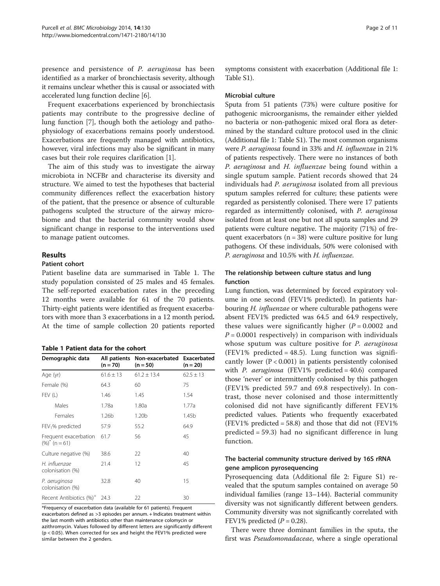<span id="page-1-0"></span>presence and persistence of P. aeruginosa has been identified as a marker of bronchiectasis severity, although it remains unclear whether this is causal or associated with accelerated lung function decline [\[6](#page-9-0)].

Frequent exacerbations experienced by bronchiectasis patients may contribute to the progressive decline of lung function [[7](#page-9-0)], though both the aetiology and pathophysiology of exacerbations remains poorly understood. Exacerbations are frequently managed with antibiotics, however, viral infections may also be significant in many cases but their role requires clarification [[1\]](#page-9-0).

The aim of this study was to investigate the airway microbiota in NCFBr and characterise its diversity and structure. We aimed to test the hypotheses that bacterial community differences reflect the exacerbation history of the patient, that the presence or absence of culturable pathogens sculpted the structure of the airway microbiome and that the bacterial community would show significant change in response to the interventions used to manage patient outcomes.

# Results

### Patient cohort

Patient baseline data are summarised in Table 1. The study population consisted of 25 males and 45 females. The self-reported exacerbation rates in the preceding 12 months were available for 61 of the 70 patients. Thirty-eight patients were identified as frequent exacerbators with more than 3 exacerbations in a 12 month period. At the time of sample collection 20 patients reported

|  |  | Table 1 Patient data for the cohort |  |  |
|--|--|-------------------------------------|--|--|
|--|--|-------------------------------------|--|--|

| Demographic data                                 | All patients<br>$(n = 70)$ | Non-exacerbated Exacerbated<br>$(n = 50)$ | $(n = 20)$    |
|--------------------------------------------------|----------------------------|-------------------------------------------|---------------|
| Age (yr)                                         | $61.6 \pm 13$              | $61.2 \pm 13.4$                           | $62.5 \pm 13$ |
| Female (%)                                       | 64.3                       | 60                                        | 75            |
| FEV (L)                                          | 1.46                       | 1.45                                      | 1.54          |
| Males                                            | 1.78a                      | 1.80a                                     | 1.77a         |
| Females                                          | 1.26 <sub>b</sub>          | 1.20 <sub>b</sub>                         | 1.45b         |
| FEV <sub>1</sub> % predicted                     | 57.9                       | 55.2                                      | 64.9          |
| Frequent exacerbation<br>$(%)^{\hat{}}$ (n = 61) | 61.7                       | 56                                        | 45            |
| Culture negative (%)                             | 38.6                       | 22                                        | 40            |
| H. influenzae<br>colonisation (%)                | 21.4                       | 12                                        | 45            |
| P. aeruginosa<br>colonisation (%)                | 32.8                       | 40                                        | 15            |
| Recent Antibiotics (%) <sup>+</sup>              | 24.3                       | 22                                        | 30            |

\*Frequency of exacerbation data (available for 61 patients). Frequent exacerbators defined as >3 episodes per annum. + Indicates treatment within the last month with antibiotics other than maintenance colomycin or azithromycin. Values followed by different letters are significantly different (p < 0.05). When corrected for sex and height the FEV1% predicted were similar between the 2 genders.

symptoms consistent with exacerbation (Additional file [1](#page-9-0): Table S1).

#### Microbial culture

Sputa from 51 patients (73%) were culture positive for pathogenic microorganisms, the remainder either yielded no bacteria or non-pathogenic mixed oral flora as determined by the standard culture protocol used in the clinic (Additional file [1](#page-9-0): Table S1). The most common organisms were P. aeruginosa found in 33% and H. influenzae in 21% of patients respectively. There were no instances of both P. aeruginosa and H. influenzae being found within a single sputum sample. Patient records showed that 24 individuals had P. aeruginosa isolated from all previous sputum samples referred for culture; these patients were regarded as persistently colonised. There were 17 patients regarded as intermittently colonised, with P. aeruginosa isolated from at least one but not all sputa samples and 29 patients were culture negative. The majority (71%) of frequent exacerbators ( $n = 38$ ) were culture positive for lung pathogens. Of these individuals, 50% were colonised with P. aeruginosa and 10.5% with H. influenzae.

# The relationship between culture status and lung function

Lung function, was determined by forced expiratory volume in one second (FEV1% predicted). In patients harbouring H. influenzae or where culturable pathogens were absent FEV1% predicted was 64.5 and 64.9 respectively, these values were significantly higher  $(P = 0.0002$  and  $P = 0.0001$  respectively) in comparison with individuals whose sputum was culture positive for P. aeruginosa  $(FEV1\% \text{ predicted} = 48.5)$ . Lung function was significantly lower  $(P < 0.001)$  in patients persistently colonised with *P. aeruginosa* (FEV1% predicted = 40.6) compared those 'never' or intermittently colonised by this pathogen (FEV1% predicted 59.7 and 69.8 respectively). In contrast, those never colonised and those intermittently colonised did not have significantly different FEV1% predicted values. Patients who frequently exacerbated  $(FEV1\% \text{ predicted} = 58.8)$  and those that did not  $(FEV1\% \text{)$ predicted = 59.3) had no significant difference in lung function.

# The bacterial community structure derived by 16S rRNA gene amplicon pyrosequencing

Pyrosequencing data (Additional file [2](#page-9-0): Figure S1) revealed that the sputum samples contained on average 50 individual families (range 13–144). Bacterial community diversity was not significantly different between genders. Community diversity was not significantly correlated with FEV1% predicted  $(P = 0.28)$ .

There were three dominant families in the sputa, the first was Pseudomonadaceae, where a single operational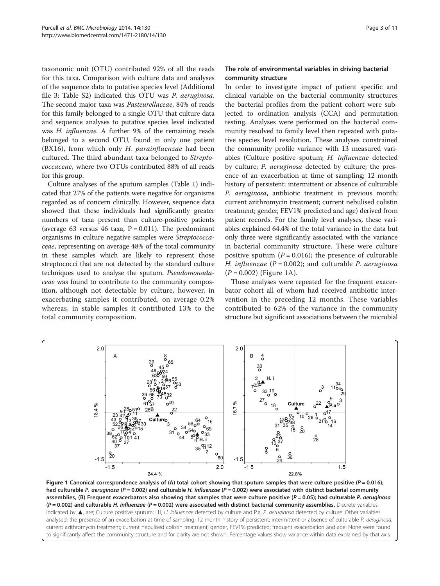<span id="page-2-0"></span>taxonomic unit (OTU) contributed 92% of all the reads for this taxa. Comparison with culture data and analyses of the sequence data to putative species level (Additional file [3](#page-9-0): Table S2) indicated this OTU was P. aeruginosa. The second major taxa was Pasteurellaceae, 84% of reads for this family belonged to a single OTU that culture data and sequence analyses to putative species level indicated was H. influenzae. A further 9% of the remaining reads belonged to a second OTU, found in only one patient (BX16), from which only H. parainfluenzae had been cultured. The third abundant taxa belonged to Streptococcaceae, where two OTUs contributed 88% of all reads for this group.

Culture analyses of the sputum samples (Table [1](#page-1-0)) indicated that 27% of the patients were negative for organisms regarded as of concern clinically. However, sequence data showed that these individuals had significantly greater numbers of taxa present than culture-positive patients (average 63 versus 46 taxa,  $P = 0.011$ ). The predominant organisms in culture negative samples were Streptococcaceae, representing on average 48% of the total community in these samples which are likely to represent those streptococci that are not detected by the standard culture techniques used to analyse the sputum. Pseudomonadaceae was found to contribute to the community composition, although not detectable by culture, however, in exacerbating samples it contributed, on average 0.2% whereas, in stable samples it contributed 13% to the total community composition.

# The role of environmental variables in driving bacterial community structure

In order to investigate impact of patient specific and clinical variable on the bacterial community structures the bacterial profiles from the patient cohort were subjected to ordination analysis (CCA) and permutation testing. Analyses were performed on the bacterial community resolved to family level then repeated with putative species level resolution. These analyses constrained the community profile variance with 13 measured variables (Culture positive sputum; H. influenzae detected by culture; P. aeruginosa detected by culture; the presence of an exacerbation at time of sampling; 12 month history of persistent; intermittent or absence of culturable P. aeruginosa, antibiotic treatment in previous month; current azithromycin treatment; current nebulised colistin treatment; gender, FEV1% predicted and age) derived from patient records. For the family level analyses, these variables explained 64.4% of the total variance in the data but only three were significantly associated with the variance in bacterial community structure. These were culture positive sputum ( $P = 0.016$ ); the presence of culturable H. influenzae ( $P = 0.002$ ); and culturable P. aeruginosa  $(P = 0.002)$  (Figure 1A).

These analyses were repeated for the frequent exacerbator cohort all of whom had received antibiotic intervention in the preceding 12 months. These variables contributed to 62% of the variance in the community structure but significant associations between the microbial



Figure 1 Canonical correspondence analysis of (A) total cohort showing that sputum samples that were culture positive ( $P = 0.016$ ); had culturable P. aeruginosa (P = 0.002) and culturable H. influenzae (P = 0.002) were associated with distinct bacterial community assemblies, (B) Frequent exacerbators also showing that samples that were culture positive ( $P = 0.05$ ); had culturable P. aeruginosa  $(P = 0.002)$  and culturable H. influenzae (P = 0.002) were associated with distinct bacterial community assemblies. Discrete variables, indicated by ▲, are; Culture positive sputum; H.i, H. influenzae detected by culture and P.a, P. aeruginosa detected by culture. Other variables analysed; the presence of an exacerbation at time of sampling; 12 month history of persistent; intermittent or absence of culturable P. aeruginosa, current azithromycin treatment; current nebulised colistin treatment; gender, FEV1% predicted; frequent exacerbation and age. None were found to significantly affect the community structure and for clarity are not shown. Percentage values show variance within data explained by that axis.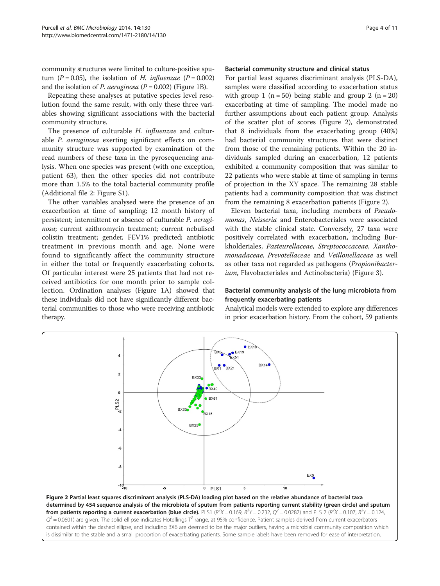<span id="page-3-0"></span>community structures were limited to culture-positive sputum ( $P = 0.05$ ), the isolation of H. influenzae ( $P = 0.002$ ) and the isolation of *P. aeruginosa* ( $P = 0.002$ ) (Figure [1](#page-2-0)B).

Repeating these analyses at putative species level resolution found the same result, with only these three variables showing significant associations with the bacterial community structure.

The presence of culturable H. influenzae and culturable P. aeruginosa exerting significant effects on community structure was supported by examination of the read numbers of these taxa in the pyrosequencing analysis. When one species was present (with one exception, patient 63), then the other species did not contribute more than 1.5% to the total bacterial community profile (Additional file [2](#page-9-0): Figure S1).

The other variables analysed were the presence of an exacerbation at time of sampling; 12 month history of persistent; intermittent or absence of culturable P. aeruginosa; current azithromycin treatment; current nebulised colistin treatment; gender, FEV1% predicted; antibiotic treatment in previous month and age. None were found to significantly affect the community structure in either the total or frequently exacerbating cohorts. Of particular interest were 25 patients that had not received antibiotics for one month prior to sample collection. Ordination analyses (Figure [1](#page-2-0)A) showed that these individuals did not have significantly different bacterial communities to those who were receiving antibiotic therapy.

#### Bacterial community structure and clinical status

For partial least squares discriminant analysis (PLS-DA), samples were classified according to exacerbation status with group 1 ( $n = 50$ ) being stable and group 2 ( $n = 20$ ) exacerbating at time of sampling. The model made no further assumptions about each patient group. Analysis of the scatter plot of scores (Figure 2), demonstrated that 8 individuals from the exacerbating group (40%) had bacterial community structures that were distinct from those of the remaining patients. Within the 20 individuals sampled during an exacerbation, 12 patients exhibited a community composition that was similar to 22 patients who were stable at time of sampling in terms of projection in the XY space. The remaining 28 stable patients had a community composition that was distinct from the remaining 8 exacerbation patients (Figure 2).

Eleven bacterial taxa, including members of Pseudomonas, Neisseria and Enterobacteriales were associated with the stable clinical state. Conversely, 27 taxa were positively correlated with exacerbation, including Burkholderiales, Pasteurellaceae, Streptococcaceae, Xanthomonadaceae, Prevotellaceae and Veillonellaceae as well as other taxa not regarded as pathogens (Propionibacter-ium, Flavobacteriales and Actinobacteria) (Figure [3\)](#page-4-0).

# Bacterial community analysis of the lung microbiota from frequently exacerbating patients

Analytical models were extended to explore any differences in prior exacerbation history. From the cohort, 59 patients

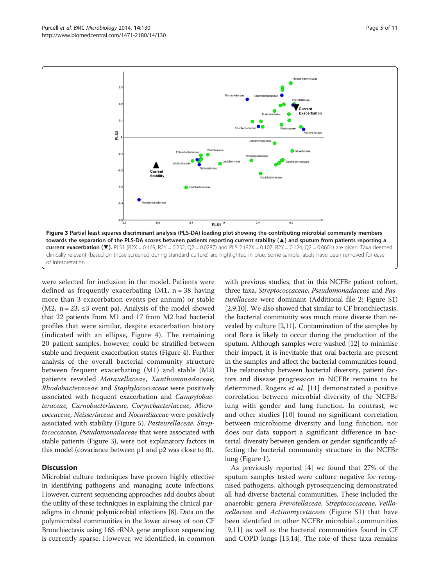<span id="page-4-0"></span>

were selected for inclusion in the model. Patients were defined as frequently exacerbating  $(M1, n = 38)$  having more than 3 exacerbation events per annum) or stable  $(M2, n = 23, \leq 3$  event pa). Analysis of the model showed that 22 patients from M1 and 17 from M2 had bacterial profiles that were similar, despite exacerbation history (indicated with an ellipse, Figure [4\)](#page-5-0). The remaining 20 patient samples, however, could be stratified between stable and frequent exacerbation states (Figure [4](#page-5-0)). Further analysis of the overall bacterial community structure between frequent exacerbating (M1) and stable (M2) patients revealed Moraxellaceae, Xanthomonadaceae, Rhodobacteraceae and Staphylococcaceae were positively associated with frequent exacerbation and Campylobacteraceae, Carnobacteriaceae, Corynebacteriaceae, Micrococcaceae, Neisseriaceae and Nocardiaceae were positively associated with stability (Figure [5\)](#page-5-0). Pasteurellaceae, Streptococcaceae, Pseudomonadaceae that were associated with stable patients (Figure 3), were not explanatory factors in this model (covariance between p1 and p2 was close to 0).

# **Discussion**

Microbial culture techniques have proven highly effective in identifying pathogens and managing acute infections. However, current sequencing approaches add doubts about the utility of these techniques in explaining the clinical paradigms in chronic polymicrobial infections [\[8\]](#page-9-0). Data on the polymicrobial communities in the lower airway of non CF Bronchiectasis using 16S rRNA gene amplicon sequencing is currently sparse. However, we identified, in common

with previous studies, that in this NCFBr patient cohort, three taxa, Streptococcaceae, Pseudomonadaceae and Pasturellaceae were dominant (Additional file [2:](#page-9-0) Figure S1) [[2,9,10](#page-9-0)]. We also showed that similar to CF bronchiectasis, the bacterial community was much more diverse than revealed by culture [[2,11](#page-9-0)]. Contamination of the samples by oral flora is likely to occur during the production of the sputum. Although samples were washed [\[12\]](#page-9-0) to minimise their impact, it is inevitable that oral bacteria are present in the samples and affect the bacterial communities found. The relationship between bacterial diversity, patient factors and disease progression in NCFBr remains to be determined. Rogers et al. [[11\]](#page-9-0) demonstrated a positive correlation between microbial diversity of the NCFBr lung with gender and lung function. In contrast, we and other studies [[10](#page-9-0)] found no significant correlation between microbiome diversity and lung function, nor does our data support a significant difference in bacterial diversity between genders or gender significantly affecting the bacterial community structure in the NCFBr lung (Figure [1\)](#page-2-0).

As previously reported [\[4\]](#page-9-0) we found that 27% of the sputum samples tested were culture negative for recognised pathogens, although pyrosequencing demonstrated all had diverse bacterial communities. These included the anaerobic genera Prevotellaceae, Streptococcaceae, Veillonellaceae and Actinomycetaceae (Figure S1) that have been identified in other NCFBr microbial communities [[9,11\]](#page-9-0) as well as the bacterial communities found in CF and COPD lungs [[13,14](#page-9-0)]. The role of these taxa remains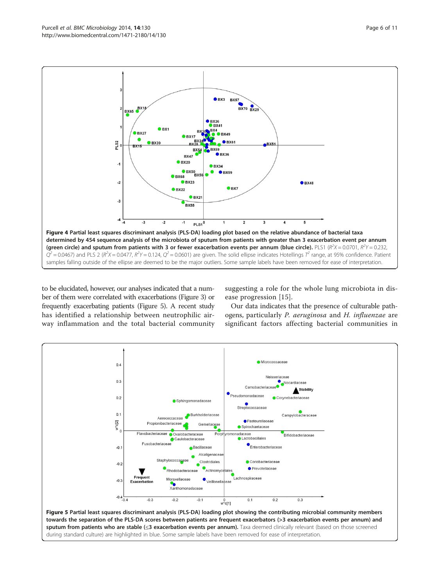

<span id="page-5-0"></span>

to be elucidated, however, our analyses indicated that a number of them were correlated with exacerbations (Figure [3](#page-4-0)) or frequently exacerbating patients (Figure 5). A recent study has identified a relationship between neutrophilic airway inflammation and the total bacterial community

suggesting a role for the whole lung microbiota in disease progression [[15\]](#page-9-0).

Our data indicates that the presence of culturable pathogens, particularly P. aeruginosa and H. influenzae are significant factors affecting bacterial communities in

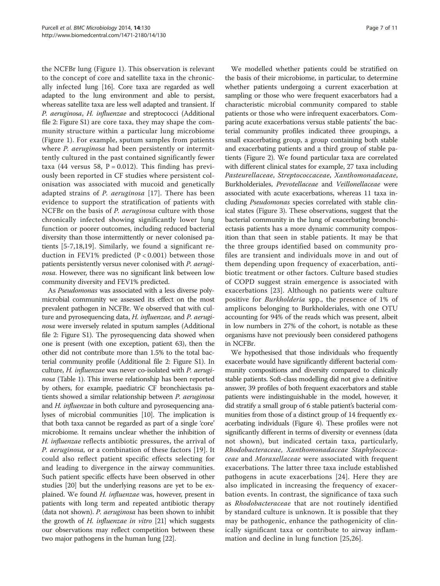the NCFBr lung (Figure [1\)](#page-2-0). This observation is relevant to the concept of core and satellite taxa in the chronically infected lung [[16](#page-9-0)]. Core taxa are regarded as well adapted to the lung environment and able to persist, whereas satellite taxa are less well adapted and transient. If P. aeruginosa, H. influenzae and streptococci (Additional file [2:](#page-9-0) Figure S1) are core taxa, they may shape the community structure within a particular lung microbiome (Figure [1\)](#page-2-0). For example, sputum samples from patients where P. aeruginosa had been persistently or intermittently cultured in the past contained significantly fewer taxa (44 versus 58,  $P = 0.012$ ). This finding has previously been reported in CF studies where persistent colonisation was associated with mucoid and genetically adapted strains of *P. aeruginosa* [[17\]](#page-9-0). There has been evidence to support the stratification of patients with NCFBr on the basis of P. aeruginosa culture with those chronically infected showing significantly lower lung function or poorer outcomes, including reduced bacterial diversity than those intermittently or never colonised patients [[5-7,18,19\]](#page-9-0). Similarly, we found a significant reduction in FEV1% predicted  $(P < 0.001)$  between those patients persistently versus never colonised with P. aeruginosa. However, there was no significant link between low community diversity and FEV1% predicted.

As Pseudomonas was associated with a less diverse polymicrobial community we assessed its effect on the most prevalent pathogen in NCFBr. We observed that with culture and pyrosequencing data, H. influenzae, and P. aeruginosa were inversely related in sputum samples (Additional file [2:](#page-9-0) Figure S1). The pyrosequencing data showed when one is present (with one exception, patient 63), then the other did not contribute more than 1.5% to the total bacterial community profile (Additional file [2](#page-9-0): Figure S1). In culture, H. influenzae was never co-isolated with P. aerugi-nosa (Table [1](#page-1-0)). This inverse relationship has been reported by others, for example, paediatric CF bronchiectasis patients showed a similar relationship between P. aeruginosa and H. influenzae in both culture and pyrosequencing analyses of microbial communities [\[10\]](#page-9-0). The implication is that both taxa cannot be regarded as part of a single 'core' microbiome. It remains unclear whether the inhibition of H. influenzae reflects antibiotic pressures, the arrival of P. aeruginosa, or a combination of these factors [\[19](#page-9-0)]. It could also reflect patient specific effects selecting for and leading to divergence in the airway communities. Such patient specific effects have been observed in other studies [\[20\]](#page-9-0) but the underlying reasons are yet to be explained. We found H. influenzae was, however, present in patients with long term and repeated antibiotic therapy (data not shown). P. aeruginosa has been shown to inhibit the growth of H. influenzae in vitro [[21](#page-9-0)] which suggests our observations may reflect competition between these two major pathogens in the human lung [\[22](#page-9-0)].

We modelled whether patients could be stratified on the basis of their microbiome, in particular, to determine whether patients undergoing a current exacerbation at sampling or those who were frequent exacerbators had a characteristic microbial community compared to stable patients or those who were infrequent exacerbators. Comparing acute exacerbations versus stable patients' the bacterial community profiles indicated three groupings, a small exacerbating group, a group containing both stable and exacerbating patients and a third group of stable patients (Figure [2](#page-3-0)). We found particular taxa are correlated with different clinical states for example, 27 taxa including Pasteurellaceae, Streptococcaceae, Xanthomonadaceae, Burkholderiales, Prevotellaceae and Veillonellaceae were associated with acute exacerbations, whereas 11 taxa including Pseudomonas species correlated with stable clinical states (Figure [3](#page-4-0)). These observations, suggest that the bacterial community in the lung of exacerbating bronchiectasis patients has a more dynamic community composition than that seen in stable patients. It may be that the three groups identified based on community profiles are transient and individuals move in and out of them depending upon frequency of exacerbation, antibiotic treatment or other factors. Culture based studies of COPD suggest strain emergence is associated with exacerbations [[23\]](#page-9-0). Although no patients were culture positive for Burkholderia spp., the presence of 1% of amplicons belonging to Burkholderiales, with one OTU accounting for 94% of the reads which was present, albeit in low numbers in 27% of the cohort, is notable as these organisms have not previously been considered pathogens in NCFBr.

We hypothesised that those individuals who frequently exacerbate would have significantly different bacterial community compositions and diversity compared to clinically stable patients. Soft-class modelling did not give a definitive answer, 39 profiles of both frequent exacerbators and stable patients were indistinguishable in the model, however, it did stratify a small group of 6 stable patient's bacterial communities from those of a distinct group of 14 frequently exacerbating individuals (Figure [4](#page-5-0)). These profiles were not significantly different in terms of diversity or evenness (data not shown), but indicated certain taxa, particularly, Rhodobacteraceae, Xanthomonadaceae Staphylococcaceae and Moraxellaceae were associated with frequent exacerbations. The latter three taxa include established pathogens in acute exacerbations [[24\]](#page-10-0). Here they are also implicated in increasing the frequency of exacerbation events. In contrast, the significance of taxa such as Rhodobacteraceae that are not routinely identified by standard culture is unknown. It is possible that they may be pathogenic, enhance the pathogenicity of clinically significant taxa or contribute to airway inflammation and decline in lung function [\[25,26\]](#page-10-0).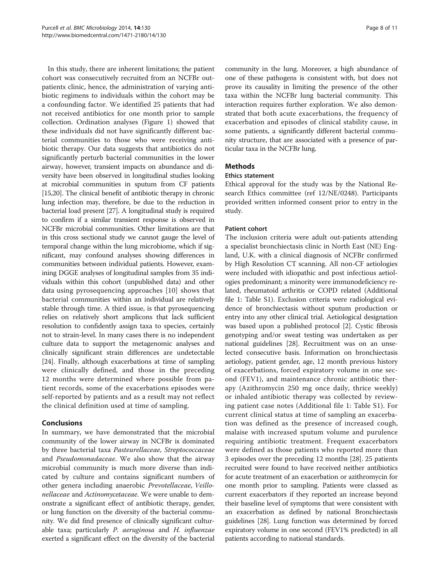In this study, there are inherent limitations; the patient cohort was consecutively recruited from an NCFBr outpatients clinic, hence, the administration of varying antibiotic regimens to individuals within the cohort may be a confounding factor. We identified 25 patients that had not received antibiotics for one month prior to sample collection. Ordination analyses (Figure [1\)](#page-2-0) showed that these individuals did not have significantly different bacterial communities to those who were receiving antibiotic therapy. Our data suggests that antibiotics do not significantly perturb bacterial communities in the lower airway, however, transient impacts on abundance and diversity have been observed in longitudinal studies looking at microbial communities in sputum from CF patients [[15,20\]](#page-9-0). The clinical benefit of antibiotic therapy in chronic lung infection may, therefore, be due to the reduction in bacterial load present [\[27\]](#page-10-0). A longitudinal study is required to confirm if a similar transient response is observed in NCFBr microbial communities. Other limitations are that in this cross sectional study we cannot gauge the level of temporal change within the lung microbiome, which if significant, may confound analyses showing differences in communities between individual patients. However, examining DGGE analyses of longitudinal samples from 35 individuals within this cohort (unpublished data) and other data using pyrosequencing approaches [\[10\]](#page-9-0) shows that bacterial communities within an individual are relatively stable through time. A third issue, is that pyrosequencing relies on relatively short amplicons that lack sufficient resolution to confidently assign taxa to species, certainly not to strain-level. In many cases there is no independent culture data to support the metagenomic analyses and clinically significant strain differences are undetectable [[24](#page-10-0)]. Finally, although exacerbations at time of sampling were clinically defined, and those in the preceding 12 months were determined where possible from patient records, some of the exacerbations episodes were self-reported by patients and as a result may not reflect the clinical definition used at time of sampling.

# Conclusions

In summary, we have demonstrated that the microbial community of the lower airway in NCFBr is dominated by three bacterial taxa Pasteurellaceae, Streptococcaceae and Pseudomonadaceae. We also show that the airway microbial community is much more diverse than indicated by culture and contains significant numbers of other genera including anaerobic Prevotellaceae, Veillonellaceae and Actinomycetaceae. We were unable to demonstrate a significant effect of antibiotic therapy, gender, or lung function on the diversity of the bacterial community. We did find presence of clinically significant culturable taxa; particularly P. aeruginosa and H. influenzae exerted a significant effect on the diversity of the bacterial community in the lung. Moreover, a high abundance of one of these pathogens is consistent with, but does not prove its causality in limiting the presence of the other taxa within the NCFBr lung bacterial community. This interaction requires further exploration. We also demonstrated that both acute exacerbations, the frequency of exacerbation and episodes of clinical stability cause, in some patients, a significantly different bacterial community structure, that are associated with a presence of particular taxa in the NCFBr lung.

# Methods

# Ethics statement

Ethical approval for the study was by the National Research Ethics committee (ref 12/NE/0248). Participants provided written informed consent prior to entry in the study.

# Patient cohort

The inclusion criteria were adult out-patients attending a specialist bronchiectasis clinic in North East (NE) England, U.K. with a clinical diagnosis of NCFBr confirmed by High Resolution CT scanning. All non-CF aetiologies were included with idiopathic and post infectious aetiologies predominant; a minority were immunodeficiency related, rheumatoid arthritis or COPD related (Additional file [1:](#page-9-0) Table S1). Exclusion criteria were radiological evidence of bronchiectasis without sputum production or entry into any other clinical trial. Aetiological designation was based upon a published protocol [\[2](#page-9-0)]. Cystic fibrosis genotyping and/or sweat testing was undertaken as per national guidelines [[28](#page-10-0)]. Recruitment was on an unselected consecutive basis. Information on bronchiectasis aetiology, patient gender, age, 12 month previous history of exacerbations, forced expiratory volume in one second (FEV1), and maintenance chronic antibiotic therapy (Azithromycin 250 mg once daily, thrice weekly) or inhaled antibiotic therapy was collected by reviewing patient case notes (Additional file [1](#page-9-0): Table S1). For current clinical status at time of sampling an exacerbation was defined as the presence of increased cough, malaise with increased sputum volume and purulence requiring antibiotic treatment. Frequent exacerbators were defined as those patients who reported more than 3 episodes over the preceding 12 months [[28](#page-10-0)]. 25 patients recruited were found to have received neither antibiotics for acute treatment of an exacerbation or azithromycin for one month prior to sampling. Patients were classed as current exacerbators if they reported an increase beyond their baseline level of symptoms that were consistent with an exacerbation as defined by national Bronchiectasis guidelines [[28](#page-10-0)]. Lung function was determined by forced expiratory volume in one second (FEV1% predicted) in all patients according to national standards.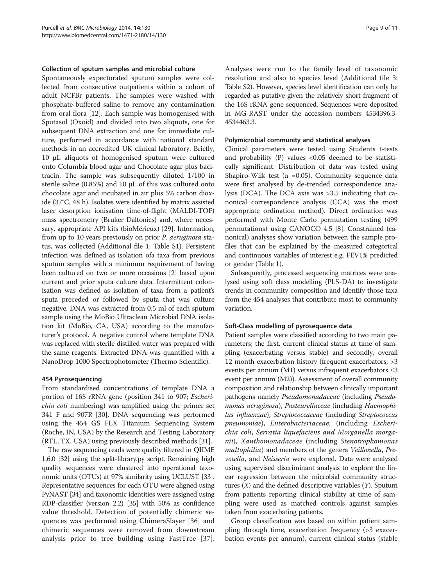### Collection of sputum samples and microbial culture

Spontaneously expectorated sputum samples were collected from consecutive outpatients within a cohort of adult NCFBr patients. The samples were washed with phosphate-buffered saline to remove any contamination from oral flora [[12\]](#page-9-0). Each sample was homogenised with Sputasol (Oxoid) and divided into two aliquots, one for subsequent DNA extraction and one for immediate culture, performed in accordance with national standard methods in an accredited UK clinical laboratory. Briefly, 10 μL aliquots of homogenised sputum were cultured onto Columbia blood agar and Chocolate agar plus bacitracin. The sample was subsequently diluted 1/100 in sterile saline (0.85%) and 10 μL of this was cultured onto chocolate agar and incubated in air plus 5% carbon dioxide (37°C, 48 h). Isolates were identified by matrix assisted laser desorption ionisation time-of-flight (MALDI-TOF) mass spectrometry (Bruker Daltonics) and, where necessary, appropriate API kits (bioMérieux) [\[29\]](#page-10-0). Information, from up to 10 years previously on prior P. aeruginosa status, was collected (Additional file [1:](#page-9-0) Table S1). Persistent infection was defined as isolation ofa taxa from previous sputum samples with a minimum requirement of having been cultured on two or more occasions [[2\]](#page-9-0) based upon current and prior sputa culture data. Intermittent colonisation was defined as isolation of taxa from a patient's sputa preceded or followed by sputa that was culture negative. DNA was extracted from 0.5 ml of each sputum sample using the MoBio Ultraclean Microbial DNA isolation kit (MoBio, CA, USA) according to the manufacturer's protocol. A negative control where template DNA was replaced with sterile distilled water was prepared with the same reagents. Extracted DNA was quantified with a NanoDrop 1000 Spectrophotometer (Thermo Scientific).

### 454 Pyrosequencing

From standardised concentrations of template DNA a portion of 16S rRNA gene (position 341 to 907; Escherichia coli numbering) was amplified using the primer set 341 F and 907R [[30\]](#page-10-0). DNA sequencing was performed using the 454 GS FLX Titanium Sequencing System (Roche, IN, USA) by the Research and Testing Laboratory (RTL, TX, USA) using previously described methods [\[31](#page-10-0)].

The raw sequencing reads were quality filtered in QIIME 1.6.0 [[32](#page-10-0)] using the split-library.py script. Remaining high quality sequences were clustered into operational taxonomic units (OTUs) at 97% similarity using UCLUST [\[33](#page-10-0)]. Representative sequences for each OTU were aligned using PyNAST [\[34\]](#page-10-0) and taxonomic identities were assigned using RDP-classifier (version 2.2) [\[35](#page-10-0)] with 50% as confidence value threshold. Detection of potentially chimeric sequences was performed using ChimeraSlayer [[36\]](#page-10-0) and chimeric sequences were removed from downstream analysis prior to tree building using FastTree [[37](#page-10-0)]. Analyses were run to the family level of taxonomic resolution and also to species level (Additional file [3](#page-9-0): Table S2). However, species level identification can only be regarded as putative given the relatively short fragment of the 16S rRNA gene sequenced. Sequences were deposited in MG-RAST under the accession numbers 4534396.3- 4534463.3.

#### Polymicrobial community and statistical analyses

Clinical parameters were tested using Students t-tests and probability  $(P)$  values <0.05 deemed to be statistically significant. Distribution of data was tested using Shapiro-Wilk test ( $\alpha$  =0.05). Community sequence data were first analysed by de-trended correspondence analysis (DCA). The DCA axis was >3.5 indicating that canonical correspondence analysis (CCA) was the most appropriate ordination method). Direct ordination was performed with Monte Carlo permutation testing (499 permutations) using CANOCO 4.5 [[8\]](#page-9-0). Constrained (canonical) analyses show variation between the sample profiles that can be explained by the measured categorical and continuous variables of interest e.g. FEV1% predicted or gender (Table [1](#page-1-0)).

Subsequently, processed sequencing matrices were analysed using soft class modelling (PLS-DA) to investigate trends in community composition and identify those taxa from the 454 analyses that contribute most to community variation.

#### Soft-Class modelling of pyrosequence data

Patient samples were classified according to two main parameters; the first, current clinical status at time of sampling (exacerbating versus stable) and secondly, overall 12 month exacerbation history (frequent exacerbators; >3 events per annum (M1) versus infrequent exacerbators  $\leq 3$ event per annum (M2)). Assessment of overall community composition and relationship between clinically important pathogens namely Pseudomonadaceae (including Pseudomonas aeruginosa), Pasteurellaceae (including Haemophilus influenzae), Streptococcaceae (including Streptococcus pneumoniae), Enterobacteriaceae, (including Escherichia coli, Serratia liquefaciens and Morganella morganii), Xanthomonadaceae (including Stenotrophomonas maltophilia) and members of the genera Veillonella, Prevotella, and Neisseria were explored. Data were analysed using supervised discriminant analysis to explore the linear regression between the microbial community structures  $(X)$  and the defined descriptive variables  $(Y)$ . Sputum from patients reporting clinical stability at time of sampling were used as matched controls against samples taken from exacerbating patients.

Group classification was based on within patient sampling through time, exacerbation frequency (>3 exacerbation events per annum), current clinical status (stable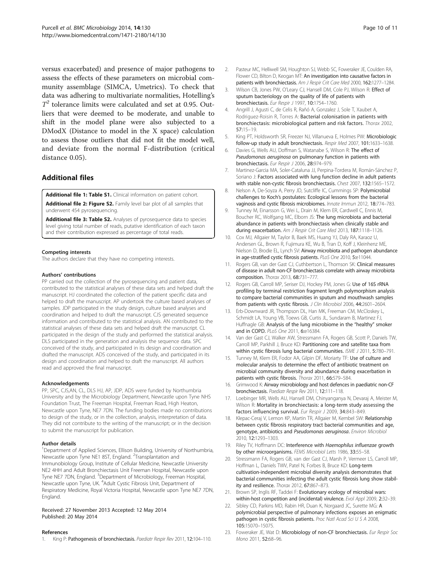<span id="page-9-0"></span>versus exacerbated) and presence of major pathogens to assess the effects of these parameters on microbial community assemblage (SIMCA, Umetrics). To check that data was adhering to multivariate normalities, Hotelling's  $T^2$  tolerance limits were calculated and set at 0.95. Outliers that were deemed to be moderate, and unable to shift in the model plane were also subjected to a DModX (Distance to model in the X space) calculation to assess those outliers that did not fit the model well, and deviate from the normal F-distribution (critical distance 0.05).

# Additional files

[Additional file 1: Table S1.](http://www.biomedcentral.com/content/supplementary/1471-2180-14-130-S1.xls) Clinical information on patient cohort.

[Additional file 2: Figure S2.](http://www.biomedcentral.com/content/supplementary/1471-2180-14-130-S2.tiff) Family level bar plot of all samples that underwent 454 pyrosequencing.

[Additional file 3: Table S2.](http://www.biomedcentral.com/content/supplementary/1471-2180-14-130-S3.xlsx) Analyses of pyrosequence data to species level giving total number of reads, putative identification of each taxon and their contribution expressed as percentage of total reads.

#### Competing interests

The authors declare that they have no competing interests.

#### Authors' contributions

PP carried out the collection of the pyrosequencing and patient data, contributed to the statistical analyses of these data sets and helped draft the manuscript. HJ coordinated the collection of the patient specific data and helped to draft the manuscript. AP undertook the culture based analyses of samples. JDP participated in the study design, culture based analyses and coordination and helped to draft the manuscript. CJS generated sequence information and contributed to the statistical analysis. AN contributed to the statistical analyses of these data sets and helped draft the manuscript. CL participated in the design of the study and performed the statistical analysis. DLS participated in the generation and analysis the sequence data. SPC conceived of the study, and participated in its design and coordination and drafted the manuscript. ADS conceived of the study, and participated in its design and coordination and helped to draft the manuscript. All authors read and approved the final manuscript.

#### Acknowledgements

PP, SPC, CJS,AN, CL, DLS HJ, AP, JDP, ADS were funded by Northumbria University and by the Microbiology Department, Newcastle upon Tyne NHS Foundation Trust, The Freeman Hospital, Freeman Road, High Heaton, Newcastle upon Tyne, NE7 7DN. The funding bodies made no contributions to design of the study, or in the collection, analysis, interpretation of data. They did not contribute to the writing of the manuscript; or in the decision to submit the manuscript for publication.

#### Author details

<sup>1</sup>Department of Applied Sciences, Ellison Building, University of Northumbria, Newcastle upon Tyne NE1 8ST, England. <sup>2</sup>Transplantation and Immunobiology Group, Institute of Cellular Medicine, Newcastle University NE2 4HH and Adult Bronchiectasis Unit Freeman Hospital, Newcastle upon Tyne NE7 7DN, England. <sup>3</sup>Department of Microbiology, Freeman Hospital, Newcastle upon Tyne, UK. <sup>4</sup>Adult Cystic Fibrosis Unit, Department of Respiratory Medicine, Royal Victoria Hospital, Newcastle upon Tyne NE7 7DN, England.

#### Received: 27 November 2013 Accepted: 12 May 2014 Published: 20 May 2014

### References

1. King P: Pathogenesis of bronchiectasis. Paediatr Respir Rev 2011, 12:104-110.

- 2. Pasteur MC, Helliwell SM, Houghton SJ, Webb SC, Foweraker JE, Coulden RA, Flower CD, Bilton D, Keogan MT: An investigation into causative factors in patients with bronchiectasis. Am J Respir Crit Care Med 2000, 162:1277-1284.
- Wilson CB, Jones PW, O'Leary CJ, Hansell DM, Cole PJ, Wilson R: Effect of sputum bacteriology on the quality of life of patients with bronchiectasis. Eur Respir J 1997, 10:1754–1760.
- 4. Angrill J, Agusti C, de Celis R, Rañó A, Gonzalez J, Sole T, Xaubet A, Rodriguez-Roisin R, Torres A: Bacterial colonisation in patients with bronchiectasis: microbiological pattern and risk factors. Thorax 2002, 57:15–19.
- King PT, Holdsworth SR, Freezer NJ, Villanueva E, Holmes PW: Microbiologic follow-up study in adult bronchiectasis. Respir Med 2007, 101:1633–1638.
- Davies G, Wells AU, Doffman S, Watanabe S, Wilson R: The effect of Pseudomonas aeruginosa on pulmonary function in patients with bronchiectasis. Eur Respir J 2006, 28:974–979.
- 7. Martinez-Garcia MA, Soler-Cataluna JJ, Perpina-Tordera M, Román-Sánchez P, Soriano J: Factors associated with lung function decline in adult patients with stable non-cystic fibrosis bronchiectasis. Chest 2007, 132:1565–1572.
- 8. Nelson A, De-Soyza A, Perry JD, Sutcliffe IC, Cummings SP: Polymicrobial challenges to Koch's postulates: Ecological lessons from the bacterial vaginosis and cystic fibrosis microbiomes. Innate Immun 2012, 18:774–783.
- 9. Tunney M, Einarsson G, Wei L, Drain M, Klem ER, Cardwell C, Ennis M, Boucher RC, Wolfgang MC, Elborn JS: The lung microbiota and bacterial abundance in patients with bronchiectasis when clinically stable and during exacerbation. Am J Respir Crit Care Med 2013, 187:1118-1126.
- 10. Cox MJ, Allgaier M, Taylor B, Baek MS, Huang YJ, Daly RA, Karaoz U, Andersen GL, Brown R, Fujimura KE, Wu B, Tran D, Koff J, Kleinhenz ME, Nielson D, Brodie EL, Lynch SV: Airway microbiota and pathogen abundance in age-stratified cystic fibrosis patients. PLoS One 2010, 5:e11044.
- 11. Rogers GB, van der Gast CJ, Cuthbertson L, Thomson SK: Clinical measures of disease in adult non-CF bronchiectasis correlate with airway microbiota composition. Thorax 2013, 68:731–777.
- 12. Rogers GB, Carroll MP, Seriser DJ, Hockey PM, Jones G: Use of 16S rRNA profiling by terminal restriction fragment length polymorphism analysis to compare bacterial communities in sputum and mouthwash samples from patients with cystic fibrosis. J Clin Microbiol 2006, 44:2601-2604.
- 13. Erb-Downward JR, Thompson DL, Han MK, Freeman CM, McCloskey L, Schmidt LA, Young VB, Toews GB, Curtis JL, Sundaram B, Martinez FJ, Huffnagle GB: Analysis of the lung microbiome in the "healthy" smoker and in COPD. PLoS One 2011, 6:e16384.
- 14. Van der Gast CJ, Walker AW, Stressmann FA, Rogers GB, Scott P, Daniels TW, Carroll MP, Parkhill J, Bruce KD: Partitioning core and satellite taxa from within cystic fibrosis lung bacterial communities. ISME J 2011, 5:780-791.
- 15. Tunney M, Klem ER, Fodor AA, Gilpin DF, Moriarty TF: Use of culture and molecular analysis to determine the effect of antibiotic treatment on microbial community diversity and abundance during exacerbation in patients with cystic fibrosis. Thorax 2011, 66:579–584.
- 16. Grimwood K: Airway microbiology and host defences in paediatric non-CF bronchiectasis. Paediatr Respir Rev 2011, 12:111–118.
- 17. Loebinger MR, Wells AU, Hansell DM, Chinyanganya N, Devaraj A, Meister M, Wilson R: Mortality in bronchiectasis: a long-term study assessing the factors influencing survival. Eur Respir J 2009, 34:843–849.
- 18. Klepac-Ceraj V, Lemon KP, Martin TR, Allgaier M, Kembel SW: Relationship between cystic fibrosis respiratory tract bacterial communities and age, genotype, antibiotics and Pseudomonas aeruginosa. Environ Microbiol 2010, 12:1293–1303.
- 19. Riley TV, Hoffmann DC: Interference with Haemophilus influenzae growth by other microorganisms. FEMS Microbiol Letts 1986, 33:55-58.
- 20. Stressmann FA, Rogers GB, van der Gast CJ, Marsh P, Vermeer LS, Carroll MP, Hoffman L, Daniels TWV, Patel N, Forbes B, Bruce KD: Long-term cultivation-independent microbial diversity analysis demonstrates that bacterial communities infecting the adult cystic fibrosis lung show stability and resilience. Thorax 2012, 67:867–873.
- 21. Brown SP, Inglis RF, Taddei F: Evolutionary ecology of microbial wars: within-host competition and (incidental) virulence. Evol Appl 2009, 2:32–39.
- 22. Sibley CD, Parkins MD, Rabin HR, Duan K, Norgaard JC, Surette MG: A polymicrobial perspective of pulmonary infections exposes an enigmatic pathogen in cystic fibrosis patients. Proc Natl Acad Sci U S A 2008, 105:15070–15075.
- 23. Foweraker JE, Wat D: Microbiology of non-CF bronchiectasis. Eur Respir Soc Mono 2011, 52:68–96.